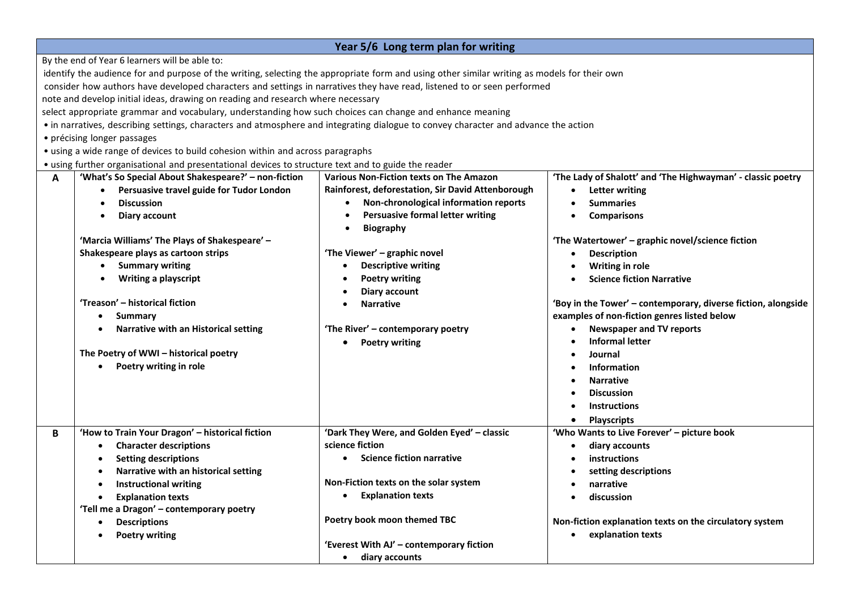| Year 5/6 Long term plan for writing                                                                                                          |                                                       |                                                   |                                                               |  |  |  |  |  |
|----------------------------------------------------------------------------------------------------------------------------------------------|-------------------------------------------------------|---------------------------------------------------|---------------------------------------------------------------|--|--|--|--|--|
| By the end of Year 6 learners will be able to:                                                                                               |                                                       |                                                   |                                                               |  |  |  |  |  |
| identify the audience for and purpose of the writing, selecting the appropriate form and using other similar writing as models for their own |                                                       |                                                   |                                                               |  |  |  |  |  |
| consider how authors have developed characters and settings in narratives they have read, listened to or seen performed                      |                                                       |                                                   |                                                               |  |  |  |  |  |
| note and develop initial ideas, drawing on reading and research where necessary                                                              |                                                       |                                                   |                                                               |  |  |  |  |  |
| select appropriate grammar and vocabulary, understanding how such choices can change and enhance meaning                                     |                                                       |                                                   |                                                               |  |  |  |  |  |
| • in narratives, describing settings, characters and atmosphere and integrating dialogue to convey character and advance the action          |                                                       |                                                   |                                                               |  |  |  |  |  |
| • précising longer passages                                                                                                                  |                                                       |                                                   |                                                               |  |  |  |  |  |
| • using a wide range of devices to build cohesion within and across paragraphs                                                               |                                                       |                                                   |                                                               |  |  |  |  |  |
| • using further organisational and presentational devices to structure text and to guide the reader                                          |                                                       |                                                   |                                                               |  |  |  |  |  |
| Α                                                                                                                                            | 'What's So Special About Shakespeare?' - non-fiction  | <b>Various Non-Fiction texts on The Amazon</b>    | 'The Lady of Shalott' and 'The Highwayman' - classic poetry   |  |  |  |  |  |
|                                                                                                                                              | Persuasive travel guide for Tudor London<br>$\bullet$ | Rainforest, deforestation, Sir David Attenborough | <b>Letter writing</b><br>$\bullet$                            |  |  |  |  |  |
|                                                                                                                                              | <b>Discussion</b>                                     | Non-chronological information reports             | <b>Summaries</b>                                              |  |  |  |  |  |
|                                                                                                                                              | Diary account                                         | <b>Persuasive formal letter writing</b>           | <b>Comparisons</b>                                            |  |  |  |  |  |
|                                                                                                                                              |                                                       | <b>Biography</b>                                  |                                                               |  |  |  |  |  |
|                                                                                                                                              | 'Marcia Williams' The Plays of Shakespeare' -         |                                                   | 'The Watertower' - graphic novel/science fiction              |  |  |  |  |  |
|                                                                                                                                              | Shakespeare plays as cartoon strips                   | 'The Viewer' - graphic novel                      | <b>Description</b>                                            |  |  |  |  |  |
|                                                                                                                                              | <b>Summary writing</b><br>$\bullet$                   | <b>Descriptive writing</b>                        | Writing in role                                               |  |  |  |  |  |
|                                                                                                                                              | <b>Writing a playscript</b>                           | <b>Poetry writing</b>                             | <b>Science fiction Narrative</b>                              |  |  |  |  |  |
|                                                                                                                                              |                                                       | <b>Diary account</b>                              |                                                               |  |  |  |  |  |
|                                                                                                                                              | 'Treason' - historical fiction                        | <b>Narrative</b>                                  | 'Boy in the Tower' - contemporary, diverse fiction, alongside |  |  |  |  |  |
|                                                                                                                                              | Summary                                               |                                                   | examples of non-fiction genres listed below                   |  |  |  |  |  |
|                                                                                                                                              | Narrative with an Historical setting                  | 'The River' - contemporary poetry                 | <b>Newspaper and TV reports</b>                               |  |  |  |  |  |
|                                                                                                                                              |                                                       | <b>Poetry writing</b>                             | <b>Informal letter</b>                                        |  |  |  |  |  |
|                                                                                                                                              | The Poetry of WWI - historical poetry                 |                                                   | Journal                                                       |  |  |  |  |  |
|                                                                                                                                              | Poetry writing in role                                |                                                   | <b>Information</b>                                            |  |  |  |  |  |
|                                                                                                                                              |                                                       |                                                   | <b>Narrative</b>                                              |  |  |  |  |  |
|                                                                                                                                              |                                                       |                                                   | <b>Discussion</b>                                             |  |  |  |  |  |
|                                                                                                                                              |                                                       |                                                   | <b>Instructions</b>                                           |  |  |  |  |  |
|                                                                                                                                              |                                                       |                                                   | <b>Playscripts</b>                                            |  |  |  |  |  |
| В                                                                                                                                            | 'How to Train Your Dragon' - historical fiction       | 'Dark They Were, and Golden Eyed' - classic       | 'Who Wants to Live Forever' - picture book                    |  |  |  |  |  |
|                                                                                                                                              | <b>Character descriptions</b>                         | science fiction                                   | diary accounts                                                |  |  |  |  |  |
|                                                                                                                                              | <b>Setting descriptions</b>                           | <b>Science fiction narrative</b>                  | instructions                                                  |  |  |  |  |  |
|                                                                                                                                              | Narrative with an historical setting                  |                                                   | setting descriptions                                          |  |  |  |  |  |
|                                                                                                                                              | <b>Instructional writing</b>                          | Non-Fiction texts on the solar system             | narrative                                                     |  |  |  |  |  |
|                                                                                                                                              | <b>Explanation texts</b><br><b>Explanation texts</b>  |                                                   | discussion                                                    |  |  |  |  |  |
|                                                                                                                                              | 'Tell me a Dragon' - contemporary poetry              |                                                   |                                                               |  |  |  |  |  |
|                                                                                                                                              | <b>Descriptions</b>                                   | Poetry book moon themed TBC                       | Non-fiction explanation texts on the circulatory system       |  |  |  |  |  |
| <b>Poetry writing</b>                                                                                                                        |                                                       |                                                   | • explanation texts                                           |  |  |  |  |  |
|                                                                                                                                              |                                                       | 'Everest With AJ' - contemporary fiction          |                                                               |  |  |  |  |  |
|                                                                                                                                              |                                                       | diary accounts                                    |                                                               |  |  |  |  |  |